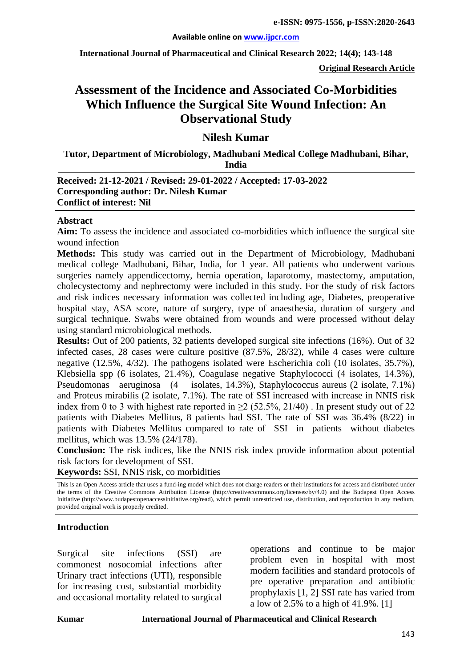**International Journal of Pharmaceutical and Clinical Research 2022; 14(4); 143-148**

**Original Research Article**

# **Assessment of the Incidence and Associated Co-Morbidities Which Influence the Surgical Site Wound Infection: An Observational Study**

# **Nilesh Kumar**

**Tutor, Department of Microbiology, Madhubani Medical College Madhubani, Bihar, India**

#### **Received: 21-12-2021 / Revised: 29-01-2022 / Accepted: 17-03-2022 Corresponding author: Dr. Nilesh Kumar Conflict of interest: Nil**

#### **Abstract**

**Aim:** To assess the incidence and associated co-morbidities which influence the surgical site wound infection

**Methods:** This study was carried out in the Department of Microbiology, Madhubani medical college Madhubani, Bihar, India, for 1 year. All patients who underwent various surgeries namely appendicectomy, hernia operation, laparotomy, mastectomy, amputation, cholecystectomy and nephrectomy were included in this study. For the study of risk factors and risk indices necessary information was collected including age, Diabetes, preoperative hospital stay, ASA score, nature of surgery, type of anaesthesia, duration of surgery and surgical technique. Swabs were obtained from wounds and were processed without delay using standard microbiological methods.

**Results:** Out of 200 patients, 32 patients developed surgical site infections (16%). Out of 32 infected cases, 28 cases were culture positive (87.5%, 28/32), while 4 cases were culture negative (12.5%, 4/32). The pathogens isolated were Escherichia coli (10 isolates, 35.7%), Klebsiella spp (6 isolates, 21.4%), Coagulase negative Staphylococci (4 isolates, 14.3%), Pseudomonas aeruginosa (4 isolates, 14.3%), Staphylococcus aureus (2 isolate, 7.1%) and Proteus mirabilis (2 isolate, 7.1%). The rate of SSI increased with increase in NNIS risk index from 0 to 3 with highest rate reported in  $\geq$  (52.5%, 21/40). In present study out of 22 patients with Diabetes Mellitus, 8 patients had SSI. The rate of SSI was 36.4% (8/22) in patients with Diabetes Mellitus compared to rate of SSI in patients without diabetes mellitus, which was 13.5% (24/178).

**Conclusion:** The risk indices, like the NNIS risk index provide information about potential risk factors for development of SSI.

**Keywords:** SSI, NNIS risk, co morbidities

This is an Open Access article that uses a fund-ing model which does not charge readers or their institutions for access and distributed under the terms of the Creative Commons Attribution License (http://creativecommons.org/licenses/by/4.0) and the Budapest Open Access Initiative (http://www.budapestopenaccessinitiative.org/read), which permit unrestricted use, distribution, and reproduction in any medium, provided original work is properly credited.

#### **Introduction**

Surgical site infections (SSI) are commonest nosocomial infections after Urinary tract infections (UTI), responsible for increasing cost, substantial morbidity and occasional mortality related to surgical operations and continue to be major problem even in hospital with most modern facilities and standard protocols of pre operative preparation and antibiotic prophylaxis [1, 2] SSI rate has varied from a low of 2.5% to a high of 41.9%. [1]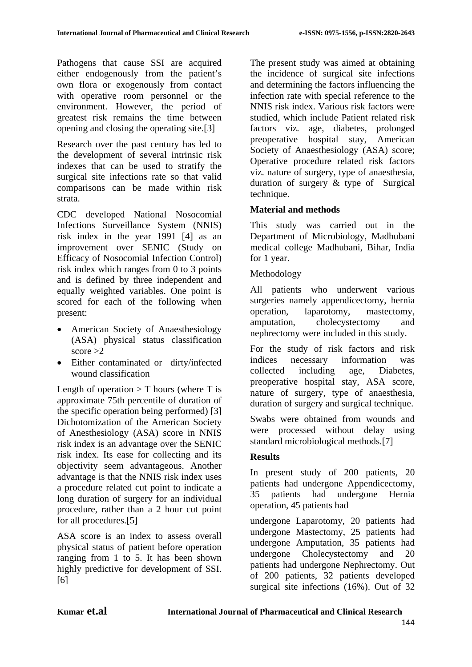Pathogens that cause SSI are acquired either endogenously from the patient's own flora or exogenously from contact with operative room personnel or the environment. However, the period of greatest risk remains the time between opening and closing the operating site.[3]

Research over the past century has led to the development of several intrinsic risk indexes that can be used to stratify the surgical site infections rate so that valid comparisons can be made within risk strata.

CDC developed National Nosocomial Infections Surveillance System (NNIS) risk index in the year 1991 [4] as an improvement over SENIC (Study on Efficacy of Nosocomial Infection Control) risk index which ranges from 0 to 3 points and is defined by three independent and equally weighted variables. One point is scored for each of the following when present:

- American Society of Anaesthesiology (ASA) physical status classification score  $>2$
- Either contaminated or dirty/infected wound classification

Length of operation  $> T$  hours (where T is approximate 75th percentile of duration of the specific operation being performed) [3] Dichotomization of the American Society of Anesthesiology (ASA) score in NNIS risk index is an advantage over the SENIC risk index. Its ease for collecting and its objectivity seem advantageous. Another advantage is that the NNIS risk index uses a procedure related cut point to indicate a long duration of surgery for an individual procedure, rather than a 2 hour cut point for all procedures.[5]

ASA score is an index to assess overall physical status of patient before operation ranging from 1 to 5. It has been shown highly predictive for development of SSI. [6]

The present study was aimed at obtaining the incidence of surgical site infections and determining the factors influencing the infection rate with special reference to the NNIS risk index. Various risk factors were studied, which include Patient related risk factors viz. age, diabetes, prolonged preoperative hospital stay, American Society of Anaesthesiology (ASA) score; Operative procedure related risk factors viz. nature of surgery, type of anaesthesia, duration of surgery & type of Surgical technique.

# **Material and methods**

This study was carried out in the Department of Microbiology, Madhubani medical college Madhubani, Bihar, India for 1 year.

# Methodology

All patients who underwent various surgeries namely appendicectomy, hernia operation, laparotomy, mastectomy, amputation, cholecystectomy and nephrectomy were included in this study.

For the study of risk factors and risk indices necessary information was collected including age, Diabetes, preoperative hospital stay, ASA score, nature of surgery, type of anaesthesia, duration of surgery and surgical technique.

Swabs were obtained from wounds and were processed without delay using standard microbiological methods.[7]

### **Results**

In present study of 200 patients, 20 patients had undergone Appendicectomy, 35 patients had undergone Hernia operation, 45 patients had

undergone Laparotomy, 20 patients had undergone Mastectomy, 25 patients had undergone Amputation, 35 patients had undergone Cholecystectomy and 20 patients had undergone Nephrectomy. Out of 200 patients, 32 patients developed surgical site infections (16%). Out of 32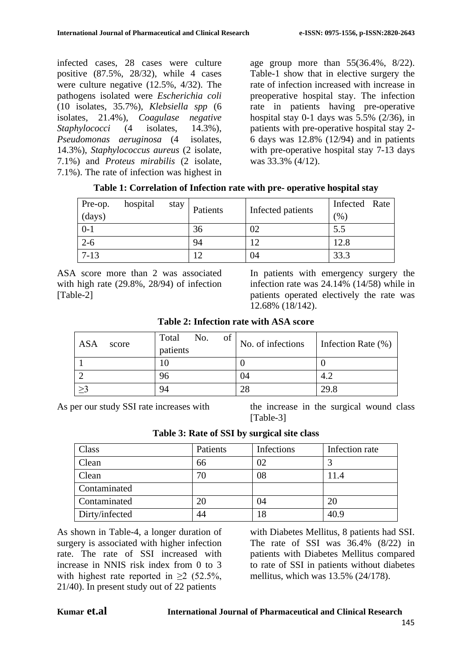infected cases, 28 cases were culture positive (87.5%, 28/32), while 4 cases were culture negative (12.5%, 4/32). The pathogens isolated were *Escherichia coli*  (10 isolates, 35.7%), *Klebsiella spp* (6 isolates, 21.4%), *Coagulase negative Staphylococci* (4 isolates, 14.3%), *Pseudomonas aeruginosa* (4 isolates, 14.3%), *Staphylococcus aureus* (2 isolate, 7.1%) and *Proteus mirabilis* (2 isolate, 7.1%). The rate of infection was highest in age group more than 55(36.4%, 8/22). Table-1 show that in elective surgery the rate of infection increased with increase in preoperative hospital stay. The infection rate in patients having pre-operative hospital stay 0-1 days was  $5.5\%$  (2/36), in patients with pre-operative hospital stay 2- 6 days was 12.8% (12/94) and in patients with pre-operative hospital stay 7-13 days was 33.3% (4/12).

| Pre-op.<br>(days) | hospital | stay | Patients | Infected patients | Infected Rate<br>$\frac{1}{2}$ |
|-------------------|----------|------|----------|-------------------|--------------------------------|
| $0-1$             |          |      | 36       | 02                | 5.5                            |
| $2 - 6$           |          |      | 94       | 12                | 12.8                           |
| $7 - 13$          |          |      |          | 04                | 33.3                           |

**Table 1: Correlation of Infection rate with pre- operative hospital stay**

ASA score more than 2 was associated with high rate (29.8%, 28/94) of infection [Table-2]

In patients with emergency surgery the infection rate was 24.14% (14/58) while in patients operated electively the rate was 12.68% (18/142).

| <b>Table 2: Infection rate with ASA score</b> |  |
|-----------------------------------------------|--|
|-----------------------------------------------|--|

| ASA<br>score | No.<br>Total<br>of<br>patients | No. of infections | Infection Rate $(\% )$ |
|--------------|--------------------------------|-------------------|------------------------|
|              |                                |                   |                        |
|              | 96                             | 04                | 4.2                    |
| >2           | 94                             | 28                | 29.8                   |

As per our study SSI rate increases with the increase in the surgical wound class [Table-3]

|  |  |  |  | Table 3: Rate of SSI by surgical site class |  |  |
|--|--|--|--|---------------------------------------------|--|--|
|--|--|--|--|---------------------------------------------|--|--|

| Class          | Patients | Infections | Infection rate |
|----------------|----------|------------|----------------|
| Clean          | 66       | 02         |                |
| Clean          | 70       | 08         | 11.4           |
| Contaminated   |          |            |                |
| Contaminated   | 20       | 04         | 20             |
| Dirty/infected | 44       | 18         | 40.9           |

As shown in Table-4, a longer duration of surgery is associated with higher infection rate. The rate of SSI increased with increase in NNIS risk index from 0 to 3 with highest rate reported in  $\geq 2$  (52.5%, 21/40). In present study out of 22 patients

with Diabetes Mellitus, 8 patients had SSI. The rate of SSI was  $36.4\%$   $(8/22)$  in patients with Diabetes Mellitus compared to rate of SSI in patients without diabetes mellitus, which was 13.5% (24/178).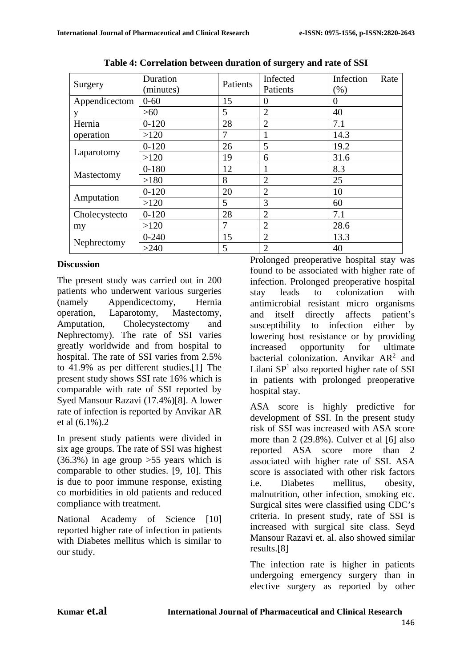| Surgery       | Duration<br>(minutes) | Patients                                                                                                                                | Infected<br>Patients | Infection<br>Rate<br>(% ) |
|---------------|-----------------------|-----------------------------------------------------------------------------------------------------------------------------------------|----------------------|---------------------------|
| Appendicectom | $0 - 60$              | 15                                                                                                                                      | $\Omega$             | $\Omega$                  |
| v             | >60                   | 5                                                                                                                                       | $\overline{2}$       | 40                        |
| Hernia        | $0 - 120$             | 28                                                                                                                                      | $\overline{2}$       | 7.1                       |
| operation     | >120                  | 7                                                                                                                                       |                      | 14.3                      |
|               | $0 - 120$             | 26                                                                                                                                      | 5                    | 19.2                      |
| Laparotomy    | >120                  | 19                                                                                                                                      | 6                    | 31.6                      |
|               | $0 - 180$             | 12                                                                                                                                      |                      | 8.3                       |
| Mastectomy    | >180                  | 8                                                                                                                                       | $\overline{2}$       | 25                        |
|               | $0 - 120$             | 20                                                                                                                                      | $\overline{2}$       | 10                        |
| Amputation    | >120                  | 3<br>5<br>60<br>28<br>7.1<br>$\overline{2}$<br>$\overline{2}$<br>7<br>28.6<br>$\overline{2}$<br>15<br>13.3<br>5<br>$\overline{2}$<br>40 |                      |                           |
| Cholecystecto | $0 - 120$             |                                                                                                                                         |                      |                           |
| my            | >120                  |                                                                                                                                         |                      |                           |
| Nephrectomy   | $0 - 240$             |                                                                                                                                         |                      |                           |
|               | >240                  |                                                                                                                                         |                      |                           |

**Table 4: Correlation between duration of surgery and rate of SSI**

### **Discussion**

The present study was carried out in 200 patients who underwent various surgeries (namely Appendicectomy, Hernia operation, Laparotomy, Mastectomy, Amputation, Cholecystectomy and Nephrectomy). The rate of SSI varies greatly worldwide and from hospital to hospital. The rate of SSI varies from 2.5% to 41.9% as per different studies.[1] The present study shows SSI rate 16% which is comparable with rate of SSI reported by Syed Mansour Razavi (17.4%)[8]. A lower rate of infection is reported by Anvikar AR et al (6.1%).2

In present study patients were divided in six age groups. The rate of SSI was highest (36.3%) in age group >55 years which is comparable to other studies. [9, 10]. This is due to poor immune response, existing co morbidities in old patients and reduced compliance with treatment.

National Academy of Science [10] reported higher rate of infection in patients with Diabetes mellitus which is similar to our study.

Prolonged preoperative hospital stay was found to be associated with higher rate of infection. Prolonged preoperative hospital stay leads to colonization with antimicrobial resistant micro organisms and itself directly affects patient's susceptibility to infection either by lowering host resistance or by providing<br>increased opportunity for ultimate increased opportunity for ultimate bacterial colonization. Anvikar AR<sup>2</sup> and Lilani  $SP<sup>1</sup>$  also reported higher rate of SSI in patients with prolonged preoperative hospital stay.

ASA score is highly predictive for development of SSI. In the present study risk of SSI was increased with ASA score more than 2 (29.8%). Culver et al [6] also reported ASA score more than 2 associated with higher rate of SSI. ASA score is associated with other risk factors i.e. Diabetes mellitus, obesity, malnutrition, other infection, smoking etc. Surgical sites were classified using CDC's criteria. In present study, rate of SSI is increased with surgical site class. Seyd Mansour Razavi et. al. also showed similar results.[8]

The infection rate is higher in patients undergoing emergency surgery than in elective surgery as reported by other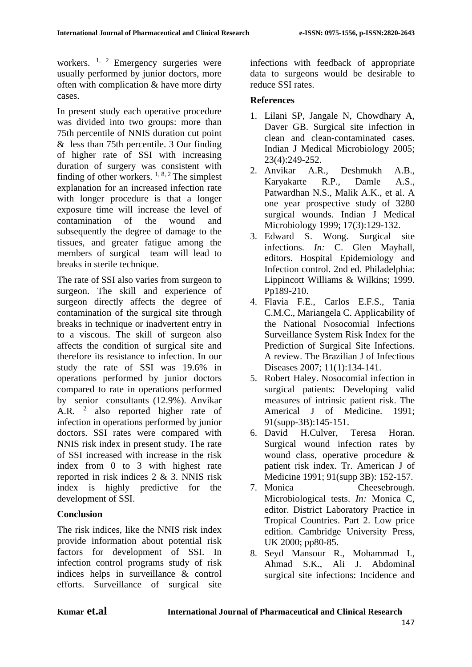workers.  $1, 2$  Emergency surgeries were usually performed by junior doctors, more often with complication & have more dirty cases.

In present study each operative procedure was divided into two groups: more than 75th percentile of NNIS duration cut point & less than 75th percentile. 3 Our finding of higher rate of SSI with increasing duration of surgery was consistent with finding of other workers.  $1, 8, 2$  The simplest explanation for an increased infection rate with longer procedure is that a longer exposure time will increase the level of contamination of the wound and subsequently the degree of damage to the tissues, and greater fatigue among the members of surgical team will lead to breaks in sterile technique.

The rate of SSI also varies from surgeon to surgeon. The skill and experience of surgeon directly affects the degree of contamination of the surgical site through breaks in technique or inadvertent entry in to a viscous. The skill of surgeon also affects the condition of surgical site and therefore its resistance to infection. In our study the rate of SSI was 19.6% in operations performed by junior doctors compared to rate in operations performed by senior consultants (12.9%). Anvikar A.R. <sup>2</sup> also reported higher rate of infection in operations performed by junior doctors. SSI rates were compared with NNIS risk index in present study. The rate of SSI increased with increase in the risk index from 0 to 3 with highest rate reported in risk indices 2 & 3. NNIS risk index is highly predictive for the development of SSI.

### **Conclusion**

The risk indices, like the NNIS risk index provide information about potential risk factors for development of SSI. In infection control programs study of risk indices helps in surveillance & control efforts. Surveillance of surgical site

infections with feedback of appropriate data to surgeons would be desirable to reduce SSI rates.

#### **References**

- 1. Lilani SP, Jangale N, Chowdhary A, Daver GB. Surgical site infection in clean and clean-contaminated cases. Indian J Medical Microbiology 2005; 23(4):249-252.
- 2. Anvikar A.R., Deshmukh A.B., Karyakarte R.P., Damle A.S., Patwardhan N.S., Malik A.K., et al. A one year prospective study of 3280 surgical wounds. Indian J Medical Microbiology 1999; 17(3):129-132.
- 3. Edward S. Wong. Surgical site infections. *In:* C. Glen Mayhall, editors. Hospital Epidemiology and Infection control. 2nd ed. Philadelphia: Lippincott Williams & Wilkins; 1999. Pp189-210.
- 4. Flavia F.E., Carlos E.F.S., Tania C.M.C., Mariangela C. Applicability of the National Nosocomial Infections Surveillance System Risk Index for the Prediction of Surgical Site Infections. A review. The Brazilian J of Infectious Diseases 2007; 11(1):134-141.
- 5. Robert Haley. Nosocomial infection in surgical patients: Developing valid measures of intrinsic patient risk. The Americal J of Medicine. 1991; 91(supp-3B):145-151.
- 6. David H.Culver, Teresa Horan. Surgical wound infection rates by wound class, operative procedure & patient risk index. Tr. American J of Medicine 1991; 91(supp 3B): 152-157.
- 7. Monica Cheesebrough. Microbiological tests. *In:* Monica C, editor. District Laboratory Practice in Tropical Countries. Part 2. Low price edition. Cambridge University Press, UK 2000; pp80-85.
- 8. Seyd Mansour R., Mohammad I., Ahmad S.K., Ali J. Abdominal surgical site infections: Incidence and